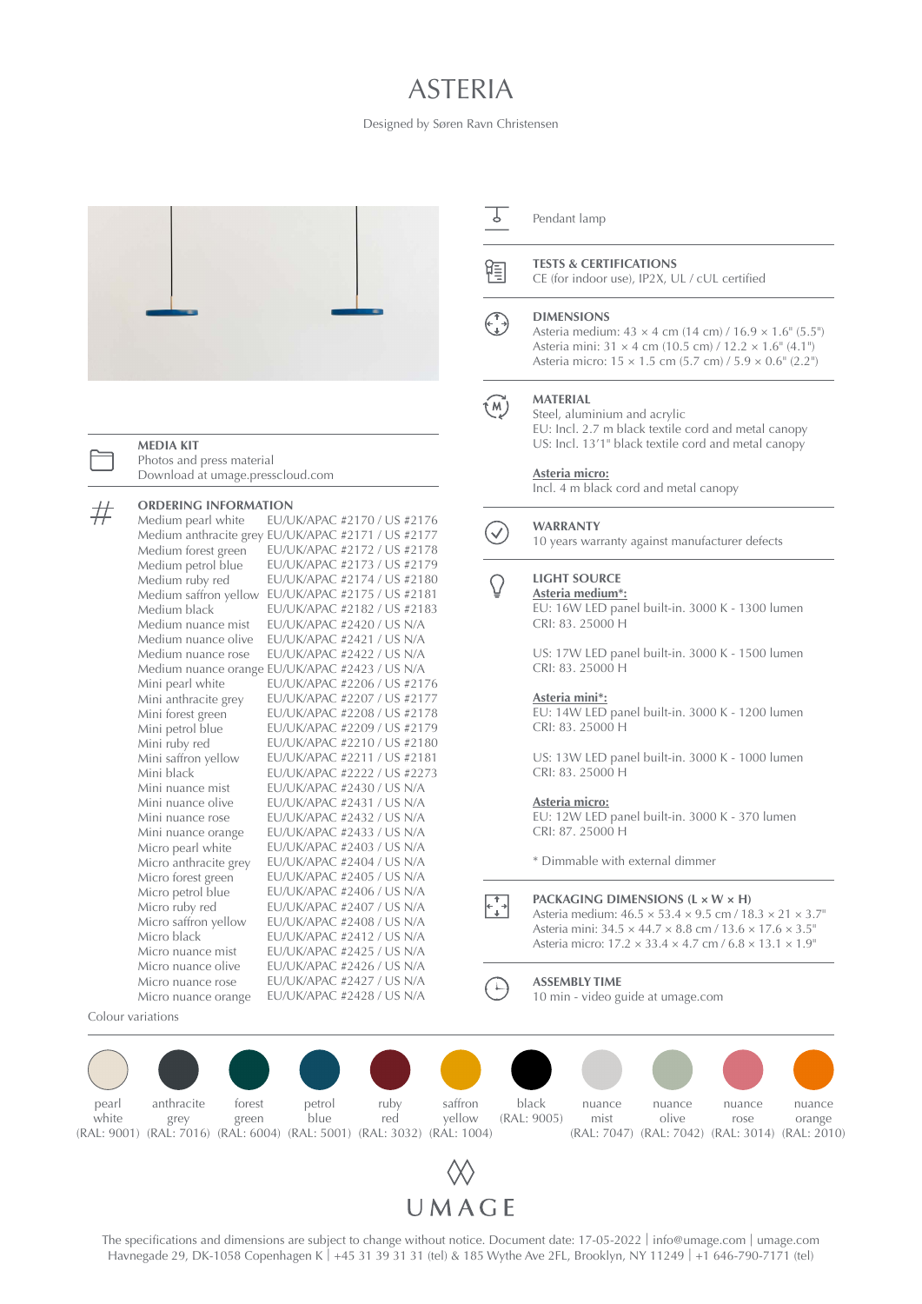## ASTERIA

Designed by Søren Ravn Christensen



The specifications and dimensions are subject to change without notice. Document date: 17-05-2022 | info@umage.com | umage.com Havnegade 29, DK-1058 Copenhagen K | +45 31 39 31 31 (tel) & 185 Wythe Ave 2FL, Brooklyn, NY 11249 | +1 646-790-7171 (tel)

nuance orange

nuance rose

nuance olive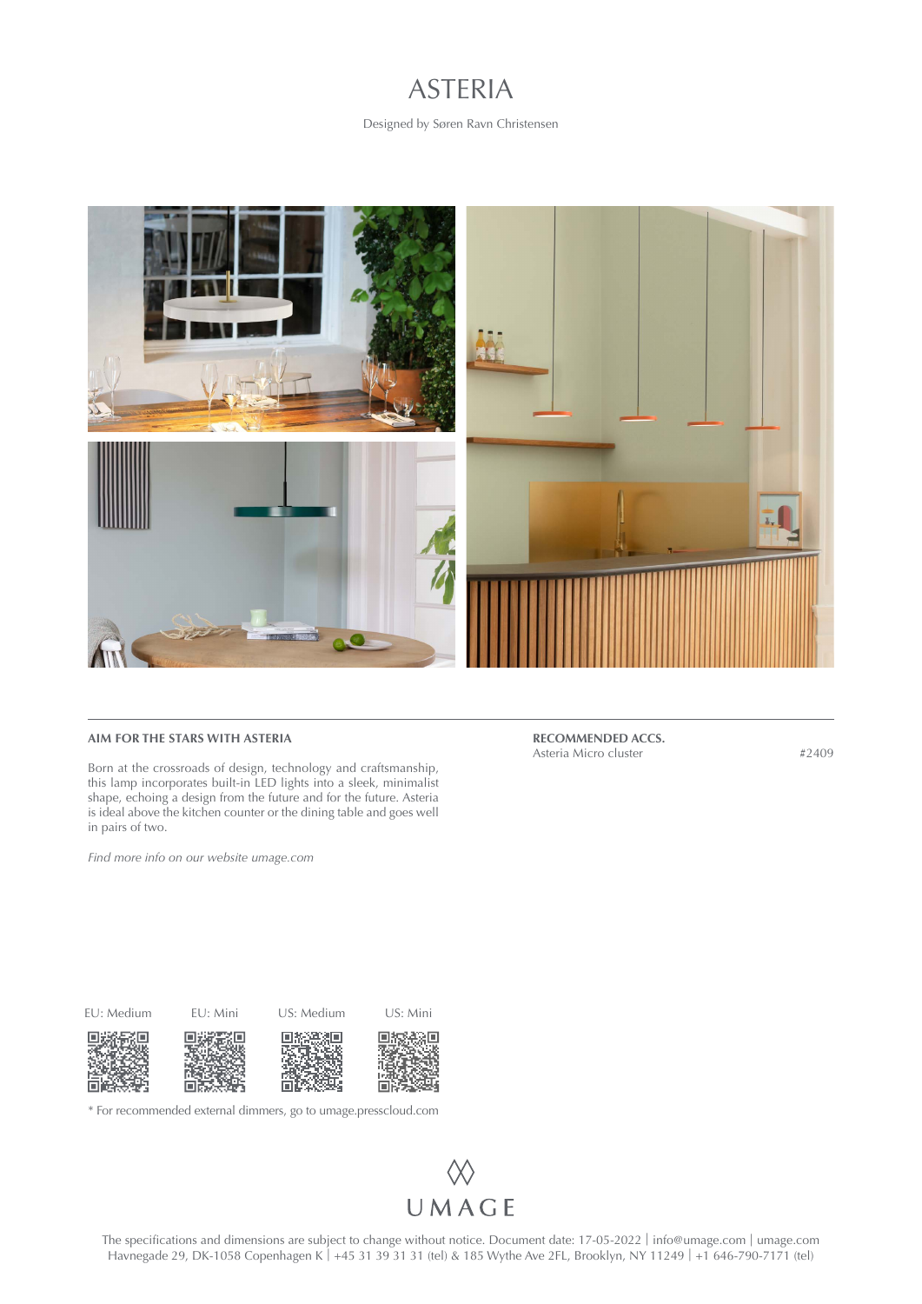## ASTERIA

Designed by Søren Ravn Christensen



## **AIM FOR THE STARS WITH ASTERIA**

Born at the crossroads of design, technology and craftsmanship, this lamp incorporates built-in LED lights into a sleek, minimalist shape, echoing a design from the future and for the future. Asteria is ideal above the kitchen counter or the dining table and goes well in pairs of two.

*Find more info on our website umage.com*

**RECOMMENDED ACCS.** Asteria Micro cluster #2409

EU: Medium EU: Mini US: Medium US: Mini



\* For recommended external dimmers, go to [umage.presscloud.com](http://umage.presscloud.com)



The specifications and dimensions are subject to change without notice. Document date: 17-05-2022 | info@umage.com | umage.com Havnegade 29, DK-1058 Copenhagen K | +45 31 39 31 31 (tel) & 185 Wythe Ave 2FL, Brooklyn, NY 11249 | +1 646-790-7171 (tel)